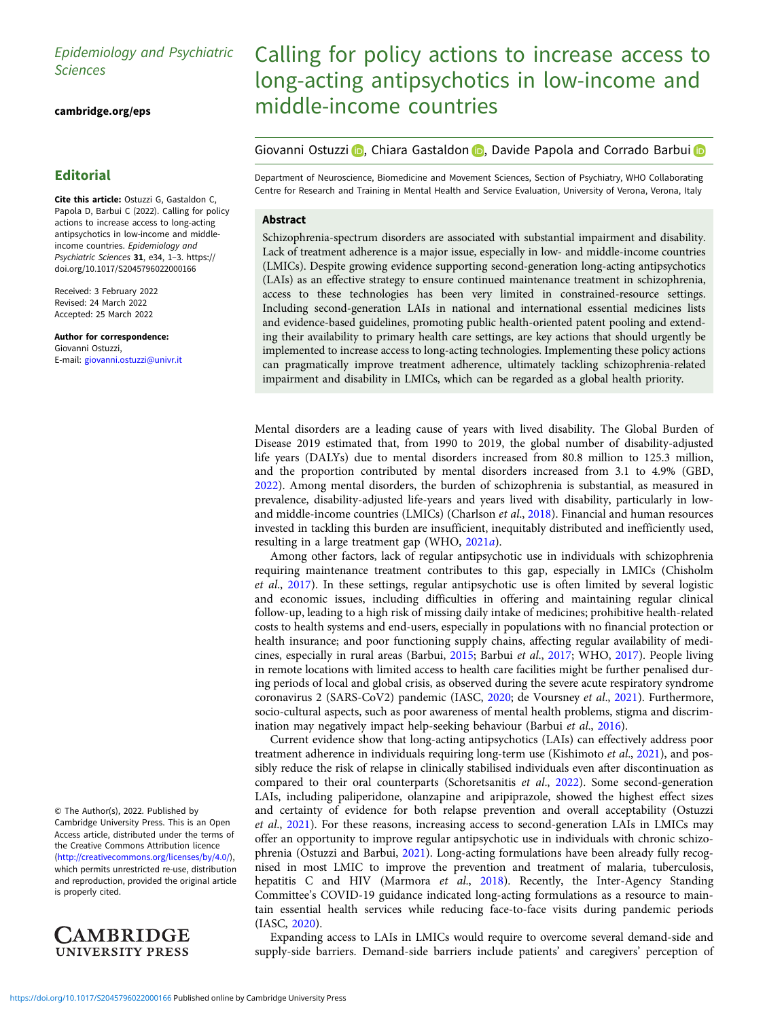# Epidemiology and Psychiatric Sciences

[cambridge.org/eps](https://www.cambridge.org/eps)

## **Editorial**

Cite this article: Ostuzzi G, Gastaldon C, Papola D, Barbui C (2022). Calling for policy actions to increase access to long-acting antipsychotics in low-income and middleincome countries. Epidemiology and Psychiatric Sciences 31, e34, 1–3. [https://](https://doi.org/10.1017/S2045796022000166) [doi.org/10.1017/S2045796022000166](https://doi.org/10.1017/S2045796022000166)

Received: 3 February 2022 Revised: 24 March 2022 Accepted: 25 March 2022

Author for correspondence: Giovanni Ostuzzi, E-mail: [giovanni.ostuzzi@univr.it](mailto:giovanni.ostuzzi@univr.it)

© The Author(s), 2022. Published by Cambridge University Press. This is an Open Access article, distributed under the terms of the Creative Commons Attribution licence ([http://creativecommons.org/licenses/by/4.0/\)](http://creativecommons.org/licenses/by/4.0/), which permits unrestricted re-use, distribution and reproduction, provided the original article is properly cited.



# Calling for policy actions to increase access to long-acting antipsychotics in low-income and middle-income countries

Giovanni Ostuzzi (D, Chiara Gastaldon (D), Davide Papola and Corrado Barbui (D

Department of Neuroscience, Biomedicine and Movement Sciences, Section of Psychiatry, WHO Collaborating Centre for Research and Training in Mental Health and Service Evaluation, University of Verona, Verona, Italy

## Abstract

Schizophrenia-spectrum disorders are associated with substantial impairment and disability. Lack of treatment adherence is a major issue, especially in low- and middle-income countries (LMICs). Despite growing evidence supporting second-generation long-acting antipsychotics (LAIs) as an effective strategy to ensure continued maintenance treatment in schizophrenia, access to these technologies has been very limited in constrained-resource settings. Including second-generation LAIs in national and international essential medicines lists and evidence-based guidelines, promoting public health-oriented patent pooling and extending their availability to primary health care settings, are key actions that should urgently be implemented to increase access to long-acting technologies. Implementing these policy actions can pragmatically improve treatment adherence, ultimately tackling schizophrenia-related impairment and disability in LMICs, which can be regarded as a global health priority.

Mental disorders are a leading cause of years with lived disability. The Global Burden of Disease 2019 estimated that, from 1990 to 2019, the global number of disability-adjusted life years (DALYs) due to mental disorders increased from 80.8 million to 125.3 million, and the proportion contributed by mental disorders increased from 3.1 to 4.9% (GBD, [2022\)](#page-2-0). Among mental disorders, the burden of schizophrenia is substantial, as measured in prevalence, disability-adjusted life-years and years lived with disability, particularly in low-and middle-income countries (LMICs) (Charlson et al., [2018](#page-2-0)). Financial and human resources invested in tackling this burden are insufficient, inequitably distributed and inefficiently used, resulting in a large treatment gap (WHO, [2021](#page-2-0)a).

Among other factors, lack of regular antipsychotic use in individuals with schizophrenia requiring maintenance treatment contributes to this gap, especially in LMICs (Chisholm et al., [2017](#page-2-0)). In these settings, regular antipsychotic use is often limited by several logistic and economic issues, including difficulties in offering and maintaining regular clinical follow-up, leading to a high risk of missing daily intake of medicines; prohibitive health-related costs to health systems and end-users, especially in populations with no financial protection or health insurance; and poor functioning supply chains, affecting regular availability of medicines, especially in rural areas (Barbui, [2015;](#page-2-0) Barbui et al., [2017](#page-2-0); WHO, [2017](#page-2-0)). People living in remote locations with limited access to health care facilities might be further penalised during periods of local and global crisis, as observed during the severe acute respiratory syndrome coronavirus 2 (SARS-CoV2) pandemic (IASC, [2020;](#page-2-0) de Voursney et al., [2021\)](#page-2-0). Furthermore, socio-cultural aspects, such as poor awareness of mental health problems, stigma and discrimination may negatively impact help-seeking behaviour (Barbui et al., [2016\)](#page-2-0).

Current evidence show that long-acting antipsychotics (LAIs) can effectively address poor treatment adherence in individuals requiring long-term use (Kishimoto et al., [2021](#page-2-0)), and possibly reduce the risk of relapse in clinically stabilised individuals even after discontinuation as compared to their oral counterparts (Schoretsanitis et al., [2022\)](#page-2-0). Some second-generation LAIs, including paliperidone, olanzapine and aripiprazole, showed the highest effect sizes and certainty of evidence for both relapse prevention and overall acceptability (Ostuzzi et al., [2021\)](#page-2-0). For these reasons, increasing access to second-generation LAIs in LMICs may offer an opportunity to improve regular antipsychotic use in individuals with chronic schizophrenia (Ostuzzi and Barbui, [2021\)](#page-2-0). Long-acting formulations have been already fully recognised in most LMIC to improve the prevention and treatment of malaria, tuberculosis, hepatitis C and HIV (Marmora et al., [2018](#page-2-0)). Recently, the Inter-Agency Standing Committee's COVID-19 guidance indicated long-acting formulations as a resource to maintain essential health services while reducing face-to-face visits during pandemic periods (IASC, [2020\)](#page-2-0).

Expanding access to LAIs in LMICs would require to overcome several demand-side and supply-side barriers. Demand-side barriers include patients' and caregivers' perception of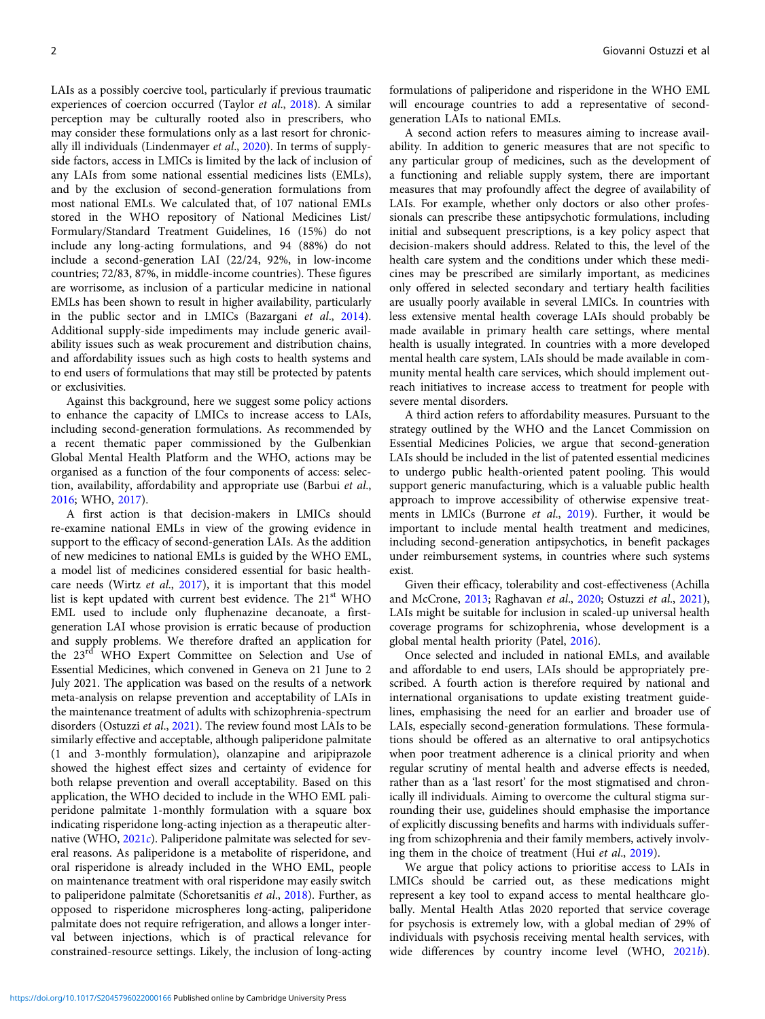LAIs as a possibly coercive tool, particularly if previous traumatic experiences of coercion occurred (Taylor et al., [2018](#page-2-0)). A similar perception may be culturally rooted also in prescribers, who may consider these formulations only as a last resort for chronically ill individuals (Lindenmayer et al., [2020](#page-2-0)). In terms of supplyside factors, access in LMICs is limited by the lack of inclusion of any LAIs from some national essential medicines lists (EMLs), and by the exclusion of second-generation formulations from most national EMLs. We calculated that, of 107 national EMLs stored in the WHO repository of National Medicines List/ Formulary/Standard Treatment Guidelines, 16 (15%) do not include any long-acting formulations, and 94 (88%) do not include a second-generation LAI (22/24, 92%, in low-income countries; 72/83, 87%, in middle-income countries). These figures are worrisome, as inclusion of a particular medicine in national EMLs has been shown to result in higher availability, particularly in the public sector and in LMICs (Bazargani et al., [2014\)](#page-2-0). Additional supply-side impediments may include generic availability issues such as weak procurement and distribution chains, and affordability issues such as high costs to health systems and to end users of formulations that may still be protected by patents or exclusivities.

Against this background, here we suggest some policy actions to enhance the capacity of LMICs to increase access to LAIs, including second-generation formulations. As recommended by a recent thematic paper commissioned by the Gulbenkian Global Mental Health Platform and the WHO, actions may be organised as a function of the four components of access: selection, availability, affordability and appropriate use (Barbui et al., [2016;](#page-2-0) WHO, [2017](#page-2-0)).

A first action is that decision-makers in LMICs should re-examine national EMLs in view of the growing evidence in support to the efficacy of second-generation LAIs. As the addition of new medicines to national EMLs is guided by the WHO EML, a model list of medicines considered essential for basic healthcare needs (Wirtz et al., [2017\)](#page-2-0), it is important that this model list is kept updated with current best evidence. The 21<sup>st</sup> WHO EML used to include only fluphenazine decanoate, a firstgeneration LAI whose provision is erratic because of production and supply problems. We therefore drafted an application for the 23<sup>rd</sup> WHO Expert Committee on Selection and Use of Essential Medicines, which convened in Geneva on 21 June to 2 July 2021. The application was based on the results of a network meta-analysis on relapse prevention and acceptability of LAIs in the maintenance treatment of adults with schizophrenia-spectrum disorders (Ostuzzi et al., [2021](#page-2-0)). The review found most LAIs to be similarly effective and acceptable, although paliperidone palmitate (1 and 3-monthly formulation), olanzapine and aripiprazole showed the highest effect sizes and certainty of evidence for both relapse prevention and overall acceptability. Based on this application, the WHO decided to include in the WHO EML paliperidone palmitate 1-monthly formulation with a square box indicating risperidone long-acting injection as a therapeutic alternative (WHO, [2021](#page-2-0)c). Paliperidone palmitate was selected for several reasons. As paliperidone is a metabolite of risperidone, and oral risperidone is already included in the WHO EML, people on maintenance treatment with oral risperidone may easily switch to paliperidone palmitate (Schoretsanitis et al., [2018\)](#page-2-0). Further, as opposed to risperidone microspheres long-acting, paliperidone palmitate does not require refrigeration, and allows a longer interval between injections, which is of practical relevance for constrained-resource settings. Likely, the inclusion of long-acting

formulations of paliperidone and risperidone in the WHO EML will encourage countries to add a representative of secondgeneration LAIs to national EMLs.

A second action refers to measures aiming to increase availability. In addition to generic measures that are not specific to any particular group of medicines, such as the development of a functioning and reliable supply system, there are important measures that may profoundly affect the degree of availability of LAIs. For example, whether only doctors or also other professionals can prescribe these antipsychotic formulations, including initial and subsequent prescriptions, is a key policy aspect that decision-makers should address. Related to this, the level of the health care system and the conditions under which these medicines may be prescribed are similarly important, as medicines only offered in selected secondary and tertiary health facilities are usually poorly available in several LMICs. In countries with less extensive mental health coverage LAIs should probably be made available in primary health care settings, where mental health is usually integrated. In countries with a more developed mental health care system, LAIs should be made available in community mental health care services, which should implement outreach initiatives to increase access to treatment for people with severe mental disorders.

A third action refers to affordability measures. Pursuant to the strategy outlined by the WHO and the Lancet Commission on Essential Medicines Policies, we argue that second-generation LAIs should be included in the list of patented essential medicines to undergo public health-oriented patent pooling. This would support generic manufacturing, which is a valuable public health approach to improve accessibility of otherwise expensive treat-ments in LMICs (Burrone et al., [2019\)](#page-2-0). Further, it would be important to include mental health treatment and medicines, including second-generation antipsychotics, in benefit packages under reimbursement systems, in countries where such systems exist.

Given their efficacy, tolerability and cost-effectiveness (Achilla and McCrone, [2013](#page-2-0); Raghavan et al., [2020;](#page-2-0) Ostuzzi et al., [2021](#page-2-0)), LAIs might be suitable for inclusion in scaled-up universal health coverage programs for schizophrenia, whose development is a global mental health priority (Patel, [2016](#page-2-0)).

Once selected and included in national EMLs, and available and affordable to end users, LAIs should be appropriately prescribed. A fourth action is therefore required by national and international organisations to update existing treatment guidelines, emphasising the need for an earlier and broader use of LAIs, especially second-generation formulations. These formulations should be offered as an alternative to oral antipsychotics when poor treatment adherence is a clinical priority and when regular scrutiny of mental health and adverse effects is needed, rather than as a 'last resort' for the most stigmatised and chronically ill individuals. Aiming to overcome the cultural stigma surrounding their use, guidelines should emphasise the importance of explicitly discussing benefits and harms with individuals suffering from schizophrenia and their family members, actively involving them in the choice of treatment (Hui et al., [2019\)](#page-2-0).

We argue that policy actions to prioritise access to LAIs in LMICs should be carried out, as these medications might represent a key tool to expand access to mental healthcare globally. Mental Health Atlas 2020 reported that service coverage for psychosis is extremely low, with a global median of 29% of individuals with psychosis receiving mental health services, with wide differences by country income level (WHO, [2021](#page-2-0)b).